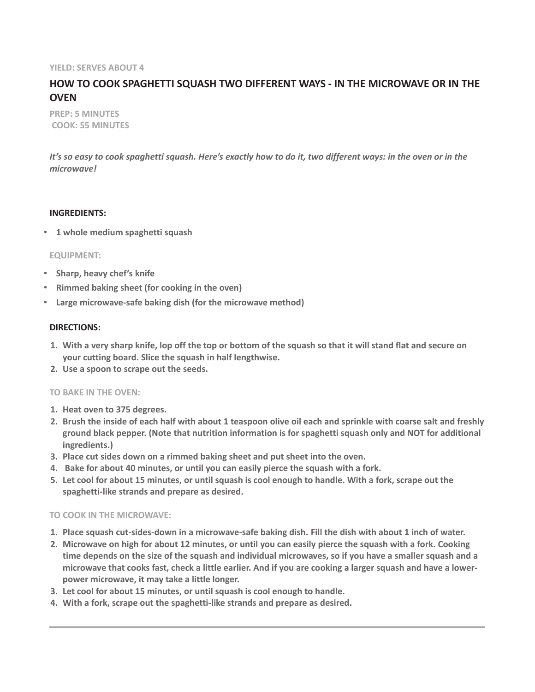#### **YIELD: SERVES ABOUT 4**

# **HOW TO COOK SPAGHETTI SQUASH TWO DIFFERENT WAYS - IN THE MICROWAVE OR IN THE OVEN**

**PREP: 5 MINUTES COOK: 55 MINUTES**

*It's so easy to cook spaghetti squash. Here's exactly how to do it, two different ways: in the oven or in the microwave!*

#### **INGREDIENTS:**

• **1 whole medium spaghetti squash**

#### **EQUIPMENT:**

- **Sharp, heavy chef's knife**
- **Rimmed baking sheet (for cooking in the oven)**
- **Large microwave-safe baking dish (for the microwave method)**

### **DIRECTIONS:**

- **1. With a very sharp knife, lop off the top or bottom of the squash so that it will stand flat and secure on your cutting board. Slice the squash in half lengthwise.**
- **2. Use a spoon to scrape out the seeds.**

#### **TO BAKE IN THE OVEN:**

- **1. Heat oven to 375 degrees.**
- **2. Brush the inside of each half with about 1 teaspoon olive oil each and sprinkle with coarse salt and freshly ground black pepper. (Note that nutrition information is for spaghetti squash only and NOT for additional ingredients.)**
- **3. Place cut sides down on a rimmed baking sheet and put sheet into the oven.**
- **4. Bake for about 40 minutes, or until you can easily pierce the squash with a fork.**
- **5. Let cool for about 15 minutes, or until squash is cool enough to handle. With a fork, scrape out the spaghetti-like strands and prepare as desired.**

## **TO COOK IN THE MICROWAVE:**

- **1. Place squash cut-sides-down in a microwave-safe baking dish. Fill the dish with about 1 inch of water.**
- **2. Microwave on high for about 12 minutes, or until you can easily pierce the squash with a fork. Cooking time depends on the size of the squash and individual microwaves, so if you have a smaller squash and a microwave that cooks fast, check a little earlier. And if you are cooking a larger squash and have a lowerpower microwave, it may take a little longer.**
- **3. Let cool for about 15 minutes, or until squash is cool enough to handle.**
- **4. With a fork, scrape out the spaghetti-like strands and prepare as desired.**